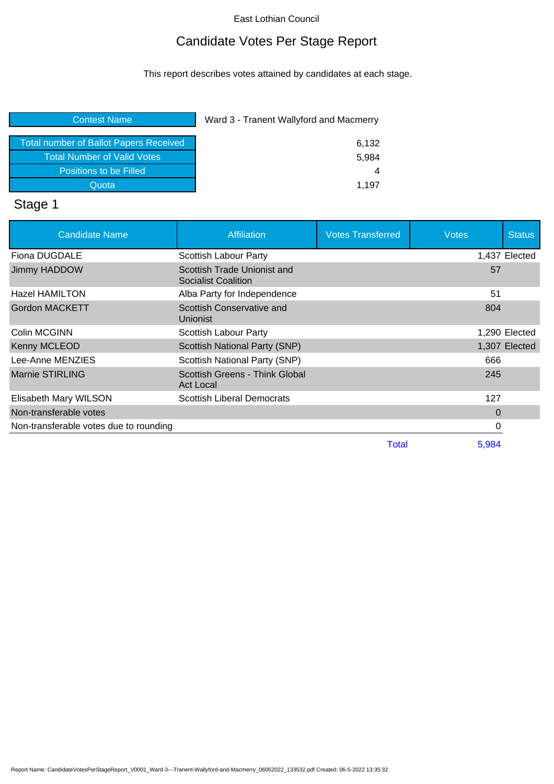# Candidate Votes Per Stage Report

This report describes votes attained by candidates at each stage.

| Ward 3 - Tranent Wallyford and Macmerry |
|-----------------------------------------|
| 6,132                                   |
| 5,984                                   |
| 4                                       |
| 1.197                                   |
|                                         |

# Stage 1

| <b>Candidate Name</b>                  | <b>Affiliation</b>                                 | <b>Votes Transferred</b> | <b>Votes</b> | <b>Status</b> |
|----------------------------------------|----------------------------------------------------|--------------------------|--------------|---------------|
| Fiona DUGDALE                          | Scottish Labour Party                              |                          |              | 1,437 Elected |
| Jimmy HADDOW                           | Scottish Trade Unionist and<br>Socialist Coalition |                          | 57           |               |
| <b>Hazel HAMILTON</b>                  | Alba Party for Independence                        |                          | 51           |               |
| <b>Gordon MACKETT</b>                  | Scottish Conservative and<br>Unionist              |                          | 804          |               |
| Colin MCGINN                           | Scottish Labour Party                              |                          |              | 1,290 Elected |
| Kenny MCLEOD                           | <b>Scottish National Party (SNP)</b>               |                          |              | 1,307 Elected |
| Lee-Anne MENZIES                       | Scottish National Party (SNP)                      |                          | 666          |               |
| <b>Marnie STIRLING</b>                 | Scottish Greens - Think Global<br><b>Act Local</b> |                          | 245          |               |
| Elisabeth Mary WILSON                  | <b>Scottish Liberal Democrats</b>                  |                          | 127          |               |
| Non-transferable votes                 |                                                    |                          | $\Omega$     |               |
| Non-transferable votes due to rounding |                                                    |                          | 0            |               |
|                                        |                                                    | <b>Total</b>             | 5,984        |               |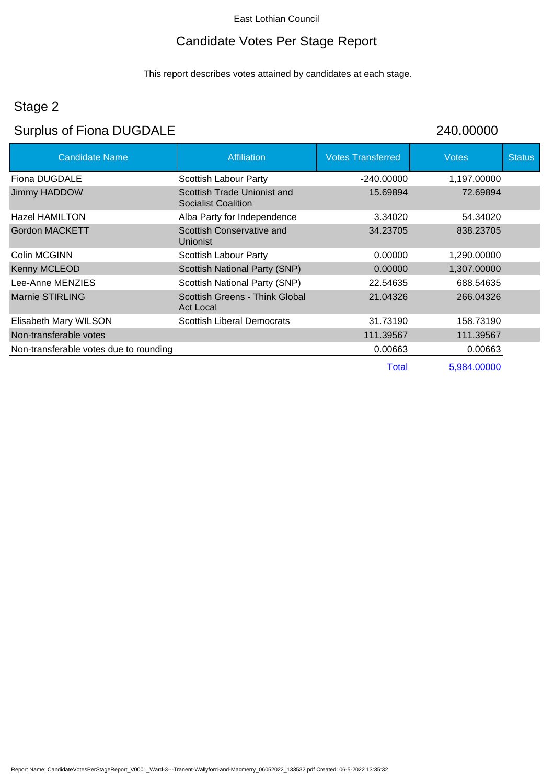## Candidate Votes Per Stage Report

This report describes votes attained by candidates at each stage.

## Stage 2

# Surplus of Fiona DUGDALE 240.00000

| <b>Candidate Name</b>                  | <b>Affiliation</b>                                        | <b>Votes Transferred</b> | <b>Votes</b> | <b>Status</b> |
|----------------------------------------|-----------------------------------------------------------|--------------------------|--------------|---------------|
| Fiona DUGDALE                          | Scottish Labour Party                                     | $-240.00000$             | 1,197.00000  |               |
| Jimmy HADDOW                           | Scottish Trade Unionist and<br><b>Socialist Coalition</b> | 15.69894                 | 72.69894     |               |
| <b>Hazel HAMILTON</b>                  | Alba Party for Independence                               | 3.34020                  | 54.34020     |               |
| <b>Gordon MACKETT</b>                  | Scottish Conservative and<br><b>Unionist</b>              | 34.23705                 | 838.23705    |               |
| Colin MCGINN                           | Scottish Labour Party                                     | 0.00000                  | 1,290.00000  |               |
| Kenny MCLEOD                           | Scottish National Party (SNP)                             | 0.00000                  | 1,307.00000  |               |
| Lee-Anne MENZIES                       | Scottish National Party (SNP)                             | 22.54635                 | 688.54635    |               |
| <b>Marnie STIRLING</b>                 | Scottish Greens - Think Global<br><b>Act Local</b>        | 21.04326                 | 266.04326    |               |
| Elisabeth Mary WILSON                  | <b>Scottish Liberal Democrats</b>                         | 31.73190                 | 158.73190    |               |
| Non-transferable votes                 |                                                           | 111.39567                | 111.39567    |               |
| Non-transferable votes due to rounding |                                                           | 0.00663                  | 0.00663      |               |
|                                        |                                                           | Total                    | 5,984.00000  |               |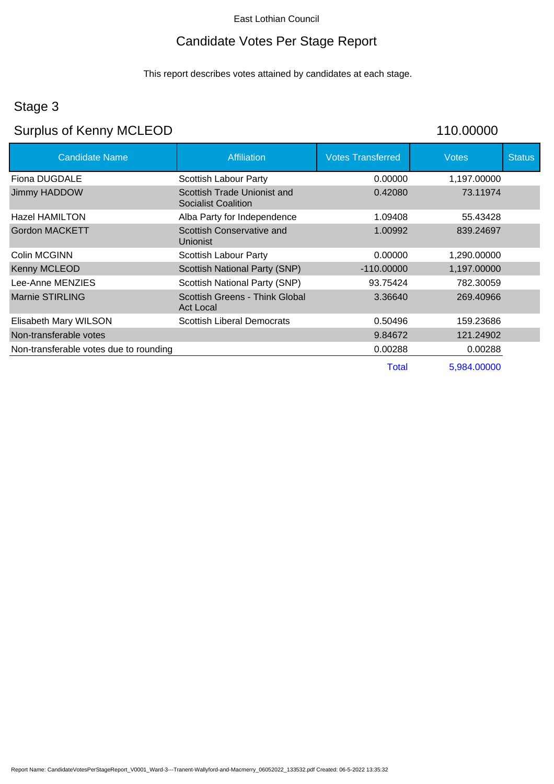## Candidate Votes Per Stage Report

This report describes votes attained by candidates at each stage.

## Stage 3

# Surplus of Kenny MCLEOD 110.00000

| <b>Candidate Name</b>                  | <b>Affiliation</b>                                        | <b>Votes Transferred</b> | <b>Votes</b> | <b>Status</b> |
|----------------------------------------|-----------------------------------------------------------|--------------------------|--------------|---------------|
| Fiona DUGDALE                          | Scottish Labour Party                                     | 0.00000                  | 1,197.00000  |               |
| Jimmy HADDOW                           | Scottish Trade Unionist and<br><b>Socialist Coalition</b> | 0.42080                  | 73.11974     |               |
| <b>Hazel HAMILTON</b>                  | Alba Party for Independence                               | 1.09408                  | 55.43428     |               |
| <b>Gordon MACKETT</b>                  | Scottish Conservative and<br><b>Unionist</b>              | 1.00992                  | 839.24697    |               |
| Colin MCGINN                           | Scottish Labour Party                                     | 0.00000                  | 1,290.00000  |               |
| Kenny MCLEOD                           | <b>Scottish National Party (SNP)</b>                      | $-110,00000$             | 1,197.00000  |               |
| Lee-Anne MENZIES                       | Scottish National Party (SNP)                             | 93.75424                 | 782.30059    |               |
| <b>Marnie STIRLING</b>                 | Scottish Greens - Think Global<br><b>Act Local</b>        | 3.36640                  | 269.40966    |               |
| Elisabeth Mary WILSON                  | <b>Scottish Liberal Democrats</b>                         | 0.50496                  | 159.23686    |               |
| Non-transferable votes                 |                                                           | 9.84672                  | 121.24902    |               |
| Non-transferable votes due to rounding |                                                           | 0.00288                  | 0.00288      |               |
|                                        |                                                           | Total                    | 5,984.00000  |               |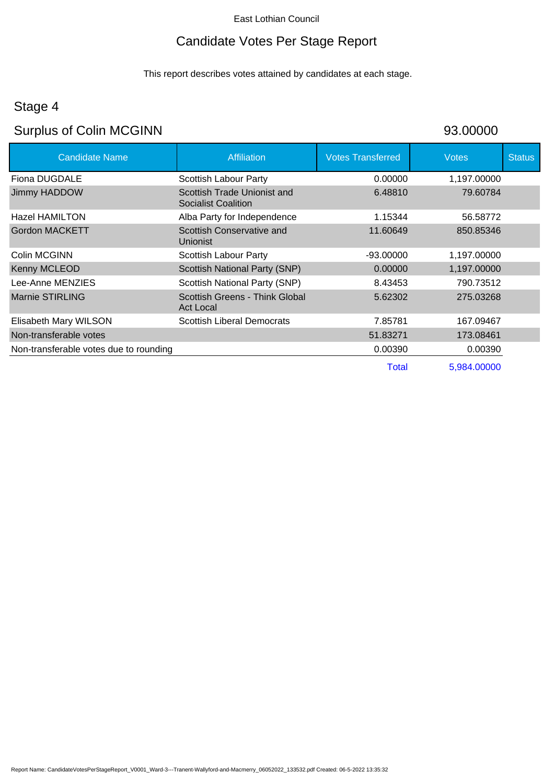# Candidate Votes Per Stage Report

This report describes votes attained by candidates at each stage.

## Stage 4

# Surplus of Colin MCGINN 93.00000

| <b>Candidate Name</b>                  | Affiliation                                               | <b>Votes Transferred</b> | <b>Votes</b> | <b>Status</b> |
|----------------------------------------|-----------------------------------------------------------|--------------------------|--------------|---------------|
| Fiona DUGDALE                          | Scottish Labour Party                                     | 0.00000                  | 1,197.00000  |               |
| <b>Jimmy HADDOW</b>                    | Scottish Trade Unionist and<br><b>Socialist Coalition</b> | 6.48810                  | 79.60784     |               |
| <b>Hazel HAMILTON</b>                  | Alba Party for Independence                               | 1.15344                  | 56.58772     |               |
| <b>Gordon MACKETT</b>                  | Scottish Conservative and<br>Unionist                     | 11.60649                 | 850.85346    |               |
| Colin MCGINN                           | Scottish Labour Party                                     | $-93.00000$              | 1,197.00000  |               |
| Kenny MCLEOD                           | Scottish National Party (SNP)                             | 0.00000                  | 1,197.00000  |               |
| Lee-Anne MENZIES                       | Scottish National Party (SNP)                             | 8.43453                  | 790.73512    |               |
| Marnie STIRLING                        | Scottish Greens - Think Global<br><b>Act Local</b>        | 5.62302                  | 275.03268    |               |
| Elisabeth Mary WILSON                  | <b>Scottish Liberal Democrats</b>                         | 7.85781                  | 167.09467    |               |
| Non-transferable votes                 |                                                           | 51.83271                 | 173.08461    |               |
| Non-transferable votes due to rounding |                                                           | 0.00390                  | 0.00390      |               |
|                                        |                                                           | <b>Total</b>             | 5,984.00000  |               |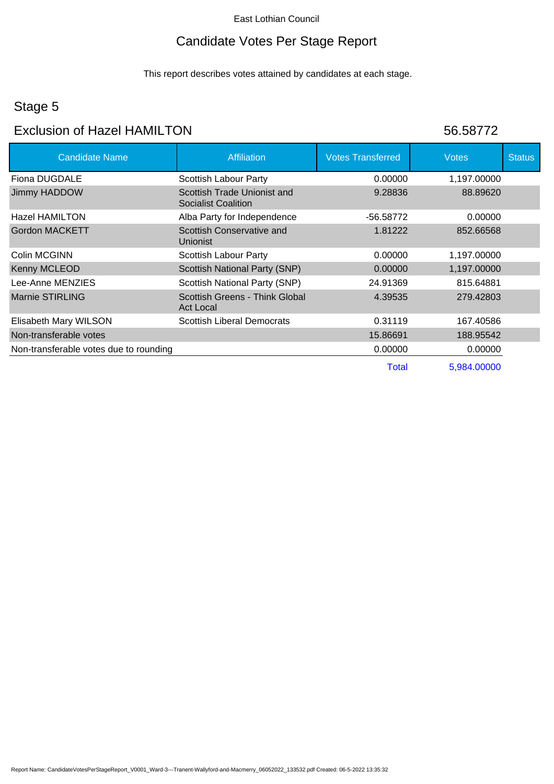## Candidate Votes Per Stage Report

This report describes votes attained by candidates at each stage.

### Stage 5

### Exclusion of Hazel HAMILTON 56.58772

| <b>Candidate Name</b>                  | <b>Affiliation</b>                                        | <b>Votes Transferred</b> | <b>Votes</b> | <b>Status</b> |
|----------------------------------------|-----------------------------------------------------------|--------------------------|--------------|---------------|
| Fiona DUGDALE                          | Scottish Labour Party                                     | 0.00000                  | 1,197.00000  |               |
| <b>Jimmy HADDOW</b>                    | Scottish Trade Unionist and<br><b>Socialist Coalition</b> | 9.28836                  | 88.89620     |               |
| Hazel HAMILTON                         | Alba Party for Independence                               | -56.58772                | 0.00000      |               |
| Gordon MACKETT                         | Scottish Conservative and<br><b>Unionist</b>              | 1.81222                  | 852.66568    |               |
| Colin MCGINN                           | Scottish Labour Party                                     | 0.00000                  | 1,197.00000  |               |
| Kenny MCLEOD                           | <b>Scottish National Party (SNP)</b>                      | 0.00000                  | 1,197.00000  |               |
| Lee-Anne MENZIES                       | Scottish National Party (SNP)                             | 24.91369                 | 815.64881    |               |
| Marnie STIRLING                        | Scottish Greens - Think Global<br><b>Act Local</b>        | 4.39535                  | 279.42803    |               |
| Elisabeth Mary WILSON                  | <b>Scottish Liberal Democrats</b>                         | 0.31119                  | 167.40586    |               |
| Non-transferable votes                 |                                                           | 15.86691                 | 188.95542    |               |
| Non-transferable votes due to rounding |                                                           | 0.00000                  | 0.00000      |               |
|                                        |                                                           | <b>Total</b>             | 5,984.00000  |               |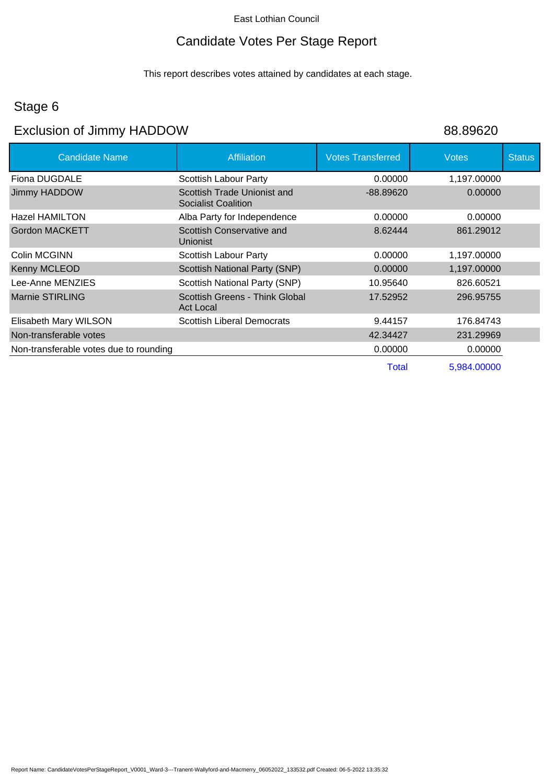# Candidate Votes Per Stage Report

This report describes votes attained by candidates at each stage.

## Stage 6

# Exclusion of Jimmy HADDOW 88.89620

| <b>Affiliation</b>                                        | <b>Votes Transferred</b> | <b>Votes</b> | <b>Status</b> |
|-----------------------------------------------------------|--------------------------|--------------|---------------|
| Scottish Labour Party                                     | 0.00000                  | 1,197.00000  |               |
| Scottish Trade Unionist and<br><b>Socialist Coalition</b> | $-88.89620$              | 0.00000      |               |
| Alba Party for Independence                               | 0.00000                  | 0.00000      |               |
| Scottish Conservative and<br><b>Unionist</b>              | 8.62444                  | 861.29012    |               |
| Scottish Labour Party                                     | 0.00000                  | 1,197.00000  |               |
| Scottish National Party (SNP)                             | 0.00000                  | 1,197.00000  |               |
| Scottish National Party (SNP)                             | 10.95640                 | 826.60521    |               |
| Scottish Greens - Think Global<br><b>Act Local</b>        | 17.52952                 | 296.95755    |               |
| <b>Scottish Liberal Democrats</b>                         | 9.44157                  | 176.84743    |               |
|                                                           | 42.34427                 | 231.29969    |               |
|                                                           | 0.00000                  | 0.00000      |               |
|                                                           | <b>Total</b>             | 5,984.00000  |               |
|                                                           |                          |              |               |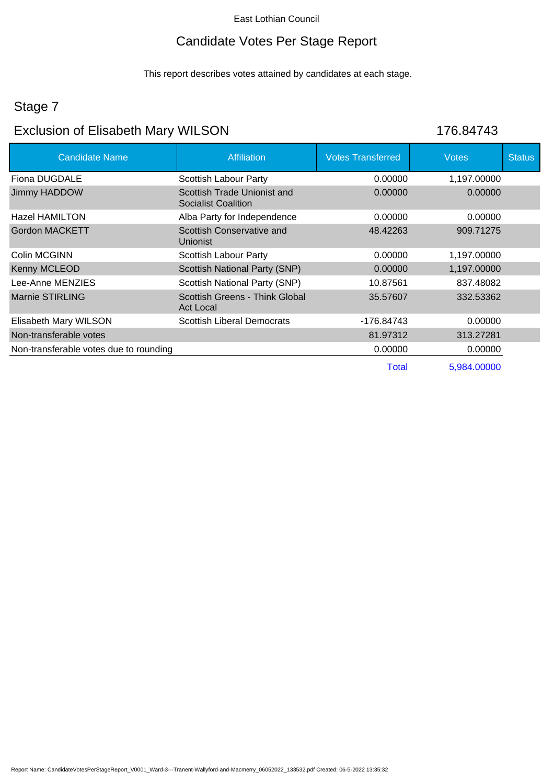## Candidate Votes Per Stage Report

This report describes votes attained by candidates at each stage.

## Stage 7

## Exclusion of Elisabeth Mary WILSON 176.84743

| <b>Candidate Name</b>                  | <b>Affiliation</b>                                        | <b>Votes Transferred</b> | <b>Votes</b> | <b>Status</b> |
|----------------------------------------|-----------------------------------------------------------|--------------------------|--------------|---------------|
| Fiona DUGDALE                          | Scottish Labour Party                                     | 0.00000                  | 1,197.00000  |               |
| Jimmy HADDOW                           | Scottish Trade Unionist and<br><b>Socialist Coalition</b> | 0.00000                  | 0.00000      |               |
| Hazel HAMILTON                         | Alba Party for Independence                               | 0.00000                  | 0.00000      |               |
| <b>Gordon MACKETT</b>                  | Scottish Conservative and<br>Unionist                     | 48.42263                 | 909.71275    |               |
| Colin MCGINN                           | Scottish Labour Party                                     | 0.00000                  | 1,197.00000  |               |
| <b>Kenny MCLEOD</b>                    | Scottish National Party (SNP)                             | 0.00000                  | 1,197.00000  |               |
| Lee-Anne MENZIES                       | Scottish National Party (SNP)                             | 10.87561                 | 837.48082    |               |
| Marnie STIRLING                        | Scottish Greens - Think Global<br><b>Act Local</b>        | 35.57607                 | 332.53362    |               |
| Elisabeth Mary WILSON                  | <b>Scottish Liberal Democrats</b>                         | -176.84743               | 0.00000      |               |
| Non-transferable votes                 |                                                           | 81.97312                 | 313.27281    |               |
| Non-transferable votes due to rounding |                                                           | 0.00000                  | 0.00000      |               |
|                                        |                                                           | <b>Total</b>             | 5,984.00000  |               |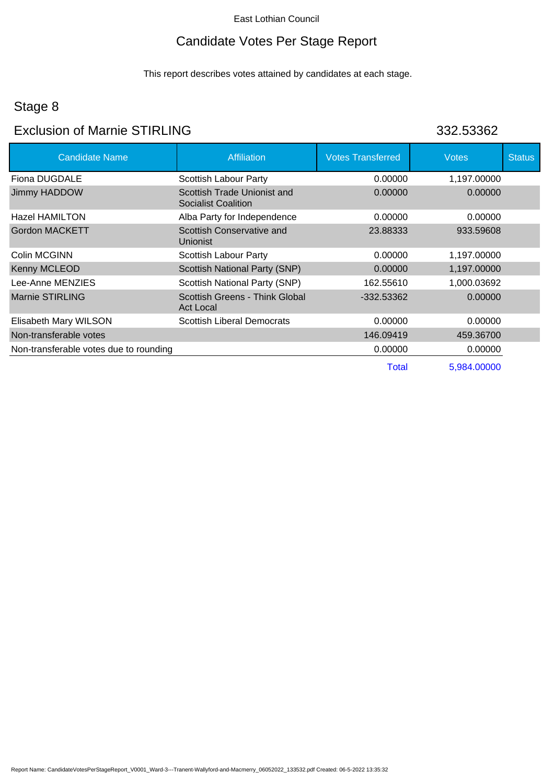# Candidate Votes Per Stage Report

This report describes votes attained by candidates at each stage.

# Stage 8

### Exclusion of Marnie STIRLING 332.53362

| <b>Candidate Name</b>                  | <b>Affiliation</b>                                        | <b>Votes Transferred</b> | <b>Votes</b> | <b>Status</b> |
|----------------------------------------|-----------------------------------------------------------|--------------------------|--------------|---------------|
| Fiona DUGDALE                          | Scottish Labour Party                                     | 0.00000                  | 1,197.00000  |               |
| Jimmy HADDOW                           | Scottish Trade Unionist and<br><b>Socialist Coalition</b> | 0.00000                  | 0.00000      |               |
| <b>Hazel HAMILTON</b>                  | Alba Party for Independence                               | 0.00000                  | 0.00000      |               |
| <b>Gordon MACKETT</b>                  | Scottish Conservative and<br><b>Unionist</b>              | 23.88333                 | 933.59608    |               |
| Colin MCGINN                           | Scottish Labour Party                                     | 0.00000                  | 1,197.00000  |               |
| Kenny MCLEOD                           | <b>Scottish National Party (SNP)</b>                      | 0.00000                  | 1,197.00000  |               |
| Lee-Anne MENZIES                       | Scottish National Party (SNP)                             | 162.55610                | 1,000.03692  |               |
| <b>Marnie STIRLING</b>                 | Scottish Greens - Think Global<br><b>Act Local</b>        | -332.53362               | 0.00000      |               |
| Elisabeth Mary WILSON                  | <b>Scottish Liberal Democrats</b>                         | 0.00000                  | 0.00000      |               |
| Non-transferable votes                 |                                                           | 146.09419                | 459.36700    |               |
| Non-transferable votes due to rounding |                                                           | 0.00000                  | 0.00000      |               |
|                                        |                                                           | Total                    | 5,984.00000  |               |